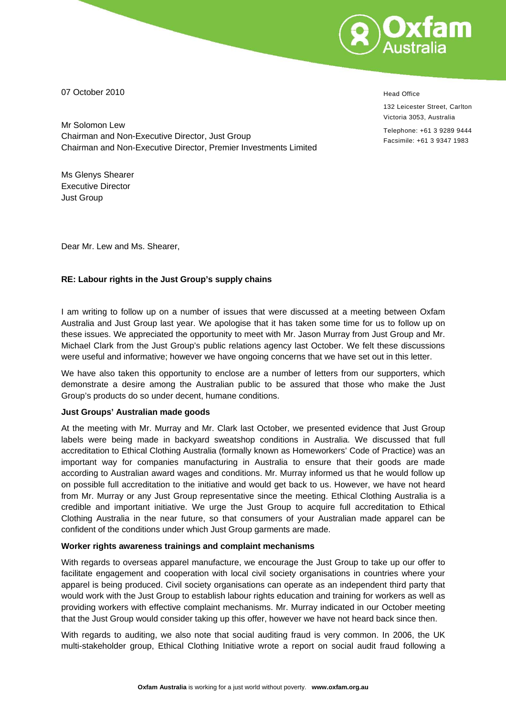

07 October 2010

Mr Solomon Lew Chairman and Non-Executive Director, Just Group Chairman and Non-Executive Director, Premier Investments Limited

Ms Glenys Shearer Executive Director Just Group

Dear Mr. Lew and Ms. Shearer,

### **RE: Labour rights in the Just Group's supply chains**

I am writing to follow up on a number of issues that were discussed at a meeting between Oxfam Australia and Just Group last year. We apologise that it has taken some time for us to follow up on these issues. We appreciated the opportunity to meet with Mr. Jason Murray from Just Group and Mr. Michael Clark from the Just Group's public relations agency last October. We felt these discussions were useful and informative; however we have ongoing concerns that we have set out in this letter.

We have also taken this opportunity to enclose are a number of letters from our supporters, which demonstrate a desire among the Australian public to be assured that those who make the Just Group's products do so under decent, humane conditions.

### **Just Groups' Australian made goods**

At the meeting with Mr. Murray and Mr. Clark last October, we presented evidence that Just Group labels were being made in backyard sweatshop conditions in Australia. We discussed that full accreditation to Ethical Clothing Australia (formally known as Homeworkers' Code of Practice) was an important way for companies manufacturing in Australia to ensure that their goods are made according to Australian award wages and conditions. Mr. Murray informed us that he would follow up on possible full accreditation to the initiative and would get back to us. However, we have not heard from Mr. Murray or any Just Group representative since the meeting. Ethical Clothing Australia is a credible and important initiative. We urge the Just Group to acquire full accreditation to Ethical Clothing Australia in the near future, so that consumers of your Australian made apparel can be confident of the conditions under which Just Group garments are made.

### **Worker rights awareness trainings and complaint mechanisms**

With regards to overseas apparel manufacture, we encourage the Just Group to take up our offer to facilitate engagement and cooperation with local civil society organisations in countries where your apparel is being produced. Civil society organisations can operate as an independent third party that would work with the Just Group to establish labour rights education and training for workers as well as providing workers with effective complaint mechanisms. Mr. Murray indicated in our October meeting that the Just Group would consider taking up this offer, however we have not heard back since then.

With regards to auditing, we also note that social auditing fraud is very common. In 2006, the UK multi-stakeholder group, Ethical Clothing Initiative wrote a report on social audit fraud following a

Head Office

132 Leicester Street, Carlton Victoria 3053, Australia

Telephone: +61 3 9289 9444 Facsimile: +61 3 9347 1983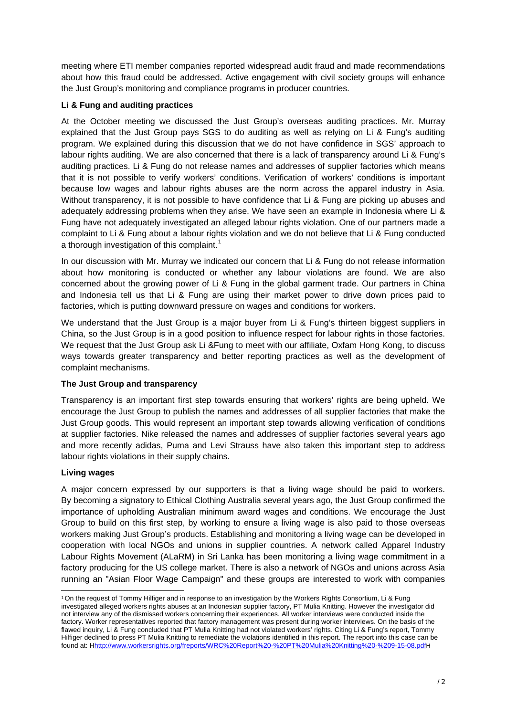meeting where ETI member companies reported widespread audit fraud and made recommendations about how this fraud could be addressed. Active engagement with civil society groups will enhance the Just Group's monitoring and compliance programs in producer countries.

# <span id="page-1-0"></span>**Li & Fung and auditing practices**

At the October meeting we discussed the Just Group's overseas auditing practices. Mr. Murray explained that the Just Group pays SGS to do auditing as well as relying on Li & Fung's auditing program. We explained during this discussion that we do not have confidence in SGS' approach to labour rights auditing. We are also concerned that there is a lack of transparency around Li & Fung's auditing practices. Li & Fung do not release names and addresses of supplier factories which means that it is not possible to verify workers' conditions. Verification of workers' conditions is important because low wages and labour rights abuses are the norm across the apparel industry in Asia. Without transparency, it is not possible to have confidence that Li & Fung are picking up abuses and adequately addressing problems when they arise. We have seen an example in Indonesia where Li & Fung have not adequately investigated an alleged labour rights violation. One of our partners made a complaint to Li & Fung about a labour rights violation and we do not believe that Li & Fung conducted a thorough investigation of this complaint.<sup>[1](#page-1-0)</sup>

In our discussion with Mr. Murray we indicated our concern that Li & Fung do not release information about how monitoring is conducted or whether any labour violations are found. We are also concerned about the growing power of Li & Fung in the global garment trade. Our partners in China and Indonesia tell us that Li & Fung are using their market power to drive down prices paid to factories, which is putting downward pressure on wages and conditions for workers.

We understand that the Just Group is a major buyer from Li & Fung's thirteen biggest suppliers in China, so the Just Group is in a good position to influence respect for labour rights in those factories. We request that the Just Group ask Li &Fung to meet with our affiliate, Oxfam Hong Kong, to discuss ways towards greater transparency and better reporting practices as well as the development of complaint mechanisms.

# **The Just Group and transparency**

Transparency is an important first step towards ensuring that workers' rights are being upheld. We encourage the Just Group to publish the names and addresses of all supplier factories that make the Just Group goods. This would represent an important step towards allowing verification of conditions at supplier factories. Nike released the names and addresses of supplier factories several years ago and more recently adidas, Puma and Levi Strauss have also taken this important step to address labour rights violations in their supply chains.

# **Living wages**

1

A major concern expressed by our supporters is that a living wage should be paid to workers. By becoming a signatory to Ethical Clothing Australia several years ago, the Just Group confirmed the importance of upholding Australian minimum award wages and conditions. We encourage the Just Group to build on this first step, by working to ensure a living wage is also paid to those overseas workers making Just Group's products. Establishing and monitoring a living wage can be developed in cooperation with local NGOs and unions in supplier countries. A network called Apparel Industry Labour Rights Movement (ALaRM) in Sri Lanka has been monitoring a living wage commitment in a factory producing for the US college market. There is also a network of NGOs and unions across Asia running an "Asian Floor Wage Campaign" and these groups are interested to work with companies

<sup>1</sup> On the request of Tommy Hilfiger and in response to an investigation by the Workers Rights Consortium, Li & Fung investigated alleged workers rights abuses at an Indonesian supplier factory, PT Mulia Knitting. However the investigator did not interview any of the dismissed workers concerning their experiences. All worker interviews were conducted inside the factory. Worker representatives reported that factory management was present during worker interviews. On the basis of the flawed inquiry, Li & Fung concluded that PT Mulia Knitting had not violated workers' rights. Citing Li & Fung's report, Tommy Hilfiger declined to press PT Mulia Knitting to remediate the violations identified in this report. The report into this case can be found at: Hhttp://www.workersrights.org/freports/WRC%20Report%20-%20PT%20Mulia%20Knitting%20-%209-15-08.pdfH